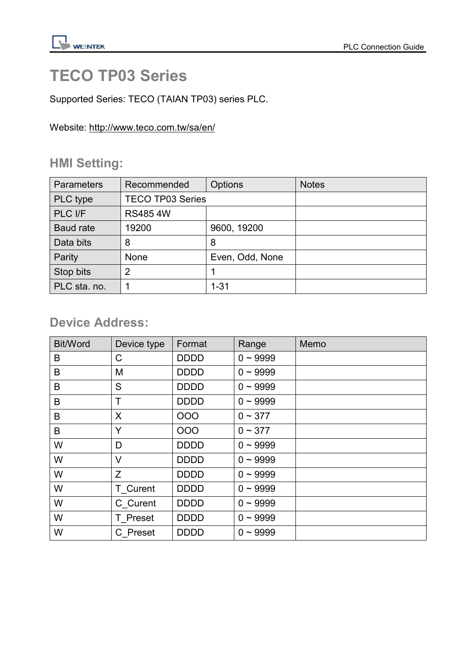# TECO TP03 Series

Supported Series: TECO (TAIAN TP03) series PLC.

Website: http://www.teco.com.tw/sa/en/

## HMI Setting:

| <b>Parameters</b> | Recommended             | Options         | <b>Notes</b> |
|-------------------|-------------------------|-----------------|--------------|
| PLC type          | <b>TECO TP03 Series</b> |                 |              |
| PLC I/F           | <b>RS4854W</b>          |                 |              |
| Baud rate         | 19200                   | 9600, 19200     |              |
| Data bits         | 8                       | 8               |              |
| Parity            | <b>None</b>             | Even, Odd, None |              |
| Stop bits         | $\overline{2}$          |                 |              |
| PLC sta. no.      |                         | $1 - 31$        |              |

## Device Address:

| <b>Bit/Word</b> | Device type | Format      | Range         | Memo |
|-----------------|-------------|-------------|---------------|------|
| B               | C           | <b>DDDD</b> | $0 - 9999$    |      |
| B               | M           | <b>DDDD</b> | $0 \sim 9999$ |      |
| B               | S           | <b>DDDD</b> | $0 - 9999$    |      |
| B               | Τ           | <b>DDDD</b> | $0 - 9999$    |      |
| B               | X           | 000         | $0 \sim 377$  |      |
| B               | Y           | 000         | $0 \sim 377$  |      |
| W               | D           | <b>DDDD</b> | $0 - 9999$    |      |
| W               | V           | <b>DDDD</b> | $0 - 9999$    |      |
| W               | Z           | <b>DDDD</b> | $0 - 9999$    |      |
| W               | T Curent    | <b>DDDD</b> | $0 - 9999$    |      |
| W               | C Curent    | <b>DDDD</b> | $0 - 9999$    |      |
| W               | T Preset    | <b>DDDD</b> | $0 \sim 9999$ |      |
| W               | C Preset    | <b>DDDD</b> | $0 - 9999$    |      |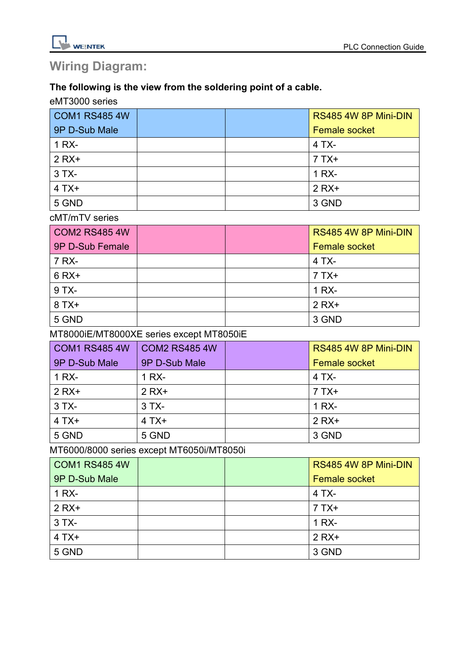

## Wiring Diagram:

### The following is the view from the soldering point of a cable.

#### eMT3000 series

| COM1 RS485 4W |  | RS485 4W 8P Mini-DIN |
|---------------|--|----------------------|
| 9P D-Sub Male |  | <b>Female socket</b> |
| 1 RX-         |  | 4 TX-                |
| $2 RX+$       |  | $7TX+$               |
| $3TX -$       |  | 1 RX-                |
| $4TX+$        |  | $2 RX+$              |
| 5 GND         |  | 3 GND                |

#### cMT/mTV series

| COM2 RS485 4W   |  | RS485 4W 8P Mini-DIN |
|-----------------|--|----------------------|
| 9P D-Sub Female |  | <b>Female socket</b> |
| 7 RX-           |  | 4 TX-                |
| $6 RX+$         |  | $7TX+$               |
| 9 TX-           |  | 1 RX-                |
| $8TX+$          |  | $2 RX+$              |
| 5 GND           |  | 3 GND                |

### MT8000iE/MT8000XE series except MT8050iE

| COM1 RS485 4W | <b>COM2 RS485 4W</b> | RS485 4W 8P Mini-DIN |
|---------------|----------------------|----------------------|
| 9P D-Sub Male | 9P D-Sub Male        | <b>Female socket</b> |
| 1 RX-         | 1 RX-                | $4TX -$              |
| $2 RX+$       | $2 RX+$              | $7TX+$               |
| $3TX -$       | $3TX -$              | 1 RX-                |
| $4TX+$        | $4TX+$               | $2 RX+$              |
| 5 GND         | 5 GND                | 3 GND                |

### MT6000/8000 series except MT6050i/MT8050i

| <b>COM1 RS485 4W</b> |  | RS485 4W 8P Mini-DIN |
|----------------------|--|----------------------|
| 9P D-Sub Male        |  | <b>Female socket</b> |
| 1 RX-                |  | $4TX -$              |
| $2$ RX+              |  | $7TX+$               |
| $3TX -$              |  | 1 RX-                |
| $4TX+$               |  | $2 RX+$              |
| 5 GND                |  | 3 GND                |